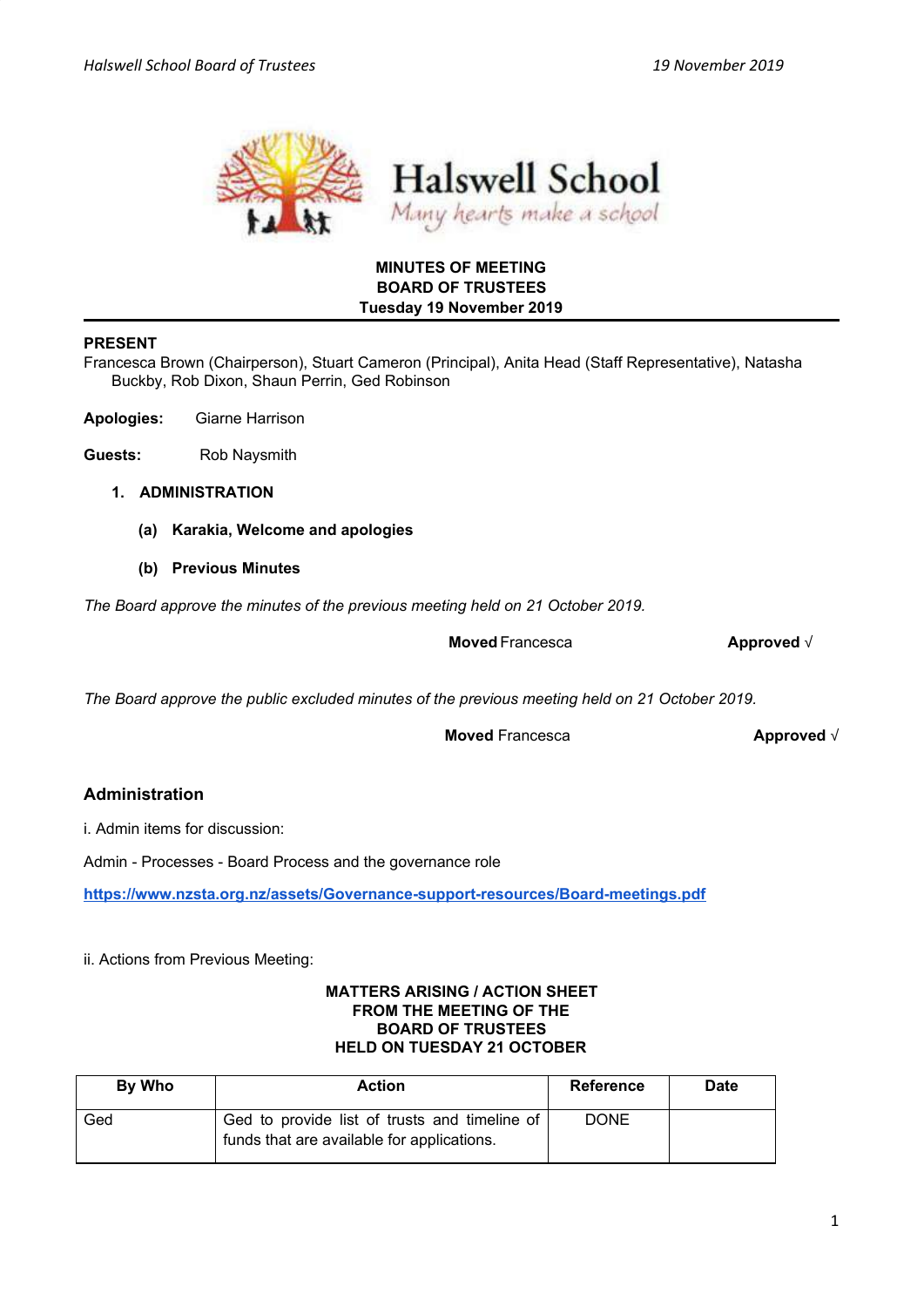



## **MINUTES OF MEETING BOARD OF TRUSTEES Tuesday 19 November 2019**

## **PRESENT**

Francesca Brown (Chairperson), Stuart Cameron (Principal), Anita Head (Staff Representative), Natasha Buckby, Rob Dixon, Shaun Perrin, Ged Robinson

**Apologies:** Giarne Harrison

- **Guests:** Rob Naysmith
	- **1. ADMINISTRATION**
		- **(a) Karakia, Welcome and apologies**
		- **(b) Previous Minutes**

*The Board approve the minutes of the previous meeting held on 21 October 2019.*

**Moved** Francesca **Approved** √

*The Board approve the public excluded minutes of the previous meeting held on 21 October 2019.*

**Moved** Francesca **Approved** √

# **Administration**

i. Admin items for discussion:

Admin - Processes - Board Process and the governance role

**<https://www.nzsta.org.nz/assets/Governance-support-resources/Board-meetings.pdf>**

ii. Actions from Previous Meeting:

### **MATTERS ARISING / ACTION SHEET FROM THE MEETING OF THE BOARD OF TRUSTEES HELD ON TUESDAY 21 OCTOBER**

| By Who | <b>Action</b>                                                                               | <b>Reference</b> | <b>Date</b> |
|--------|---------------------------------------------------------------------------------------------|------------------|-------------|
| Ged    | Ged to provide list of trusts and timeline of<br>funds that are available for applications. | <b>DONE</b>      |             |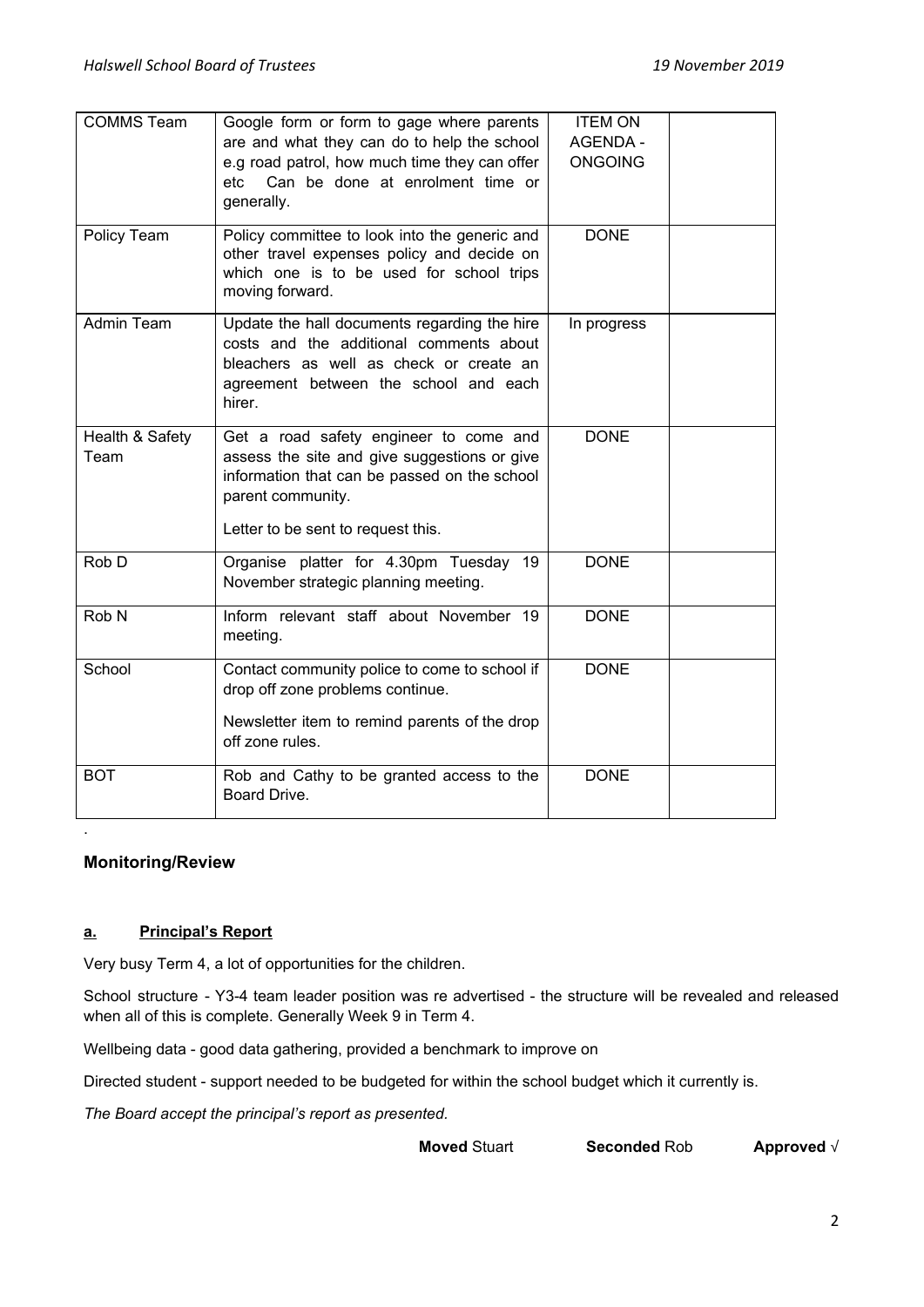| <b>COMMS Team</b>       | Google form or form to gage where parents<br>are and what they can do to help the school<br>e.g road patrol, how much time they can offer<br>Can be done at enrolment time or<br>etc<br>generally. | <b>ITEM ON</b><br><b>AGENDA -</b><br><b>ONGOING</b> |  |
|-------------------------|----------------------------------------------------------------------------------------------------------------------------------------------------------------------------------------------------|-----------------------------------------------------|--|
| Policy Team             | Policy committee to look into the generic and<br>other travel expenses policy and decide on<br>which one is to be used for school trips<br>moving forward.                                         | <b>DONE</b>                                         |  |
| Admin Team              | Update the hall documents regarding the hire<br>costs and the additional comments about<br>bleachers as well as check or create an<br>agreement between the school and each<br>hirer.              | In progress                                         |  |
| Health & Safety<br>Team | Get a road safety engineer to come and<br>assess the site and give suggestions or give<br>information that can be passed on the school<br>parent community.<br>Letter to be sent to request this.  | <b>DONE</b>                                         |  |
| Rob D                   | Organise platter for 4.30pm Tuesday 19<br>November strategic planning meeting.                                                                                                                     | <b>DONE</b>                                         |  |
| Rob <sub>N</sub>        | Inform relevant staff about November 19<br>meeting.                                                                                                                                                | <b>DONE</b>                                         |  |
| School                  | Contact community police to come to school if<br>drop off zone problems continue.<br>Newsletter item to remind parents of the drop<br>off zone rules.                                              | <b>DONE</b>                                         |  |
| <b>BOT</b>              | Rob and Cathy to be granted access to the<br>Board Drive.                                                                                                                                          | <b>DONE</b>                                         |  |

## **Monitoring/Review**

.

## **a. Principal's Report**

Very busy Term 4, a lot of opportunities for the children.

School structure - Y3-4 team leader position was re advertised - the structure will be revealed and released when all of this is complete. Generally Week 9 in Term 4.

Wellbeing data - good data gathering, provided a benchmark to improve on

Directed student - support needed to be budgeted for within the school budget which it currently is.

*The Board accept the principal's report as presented.*

**Moved** Stuart **Seconded** Rob **Approved** √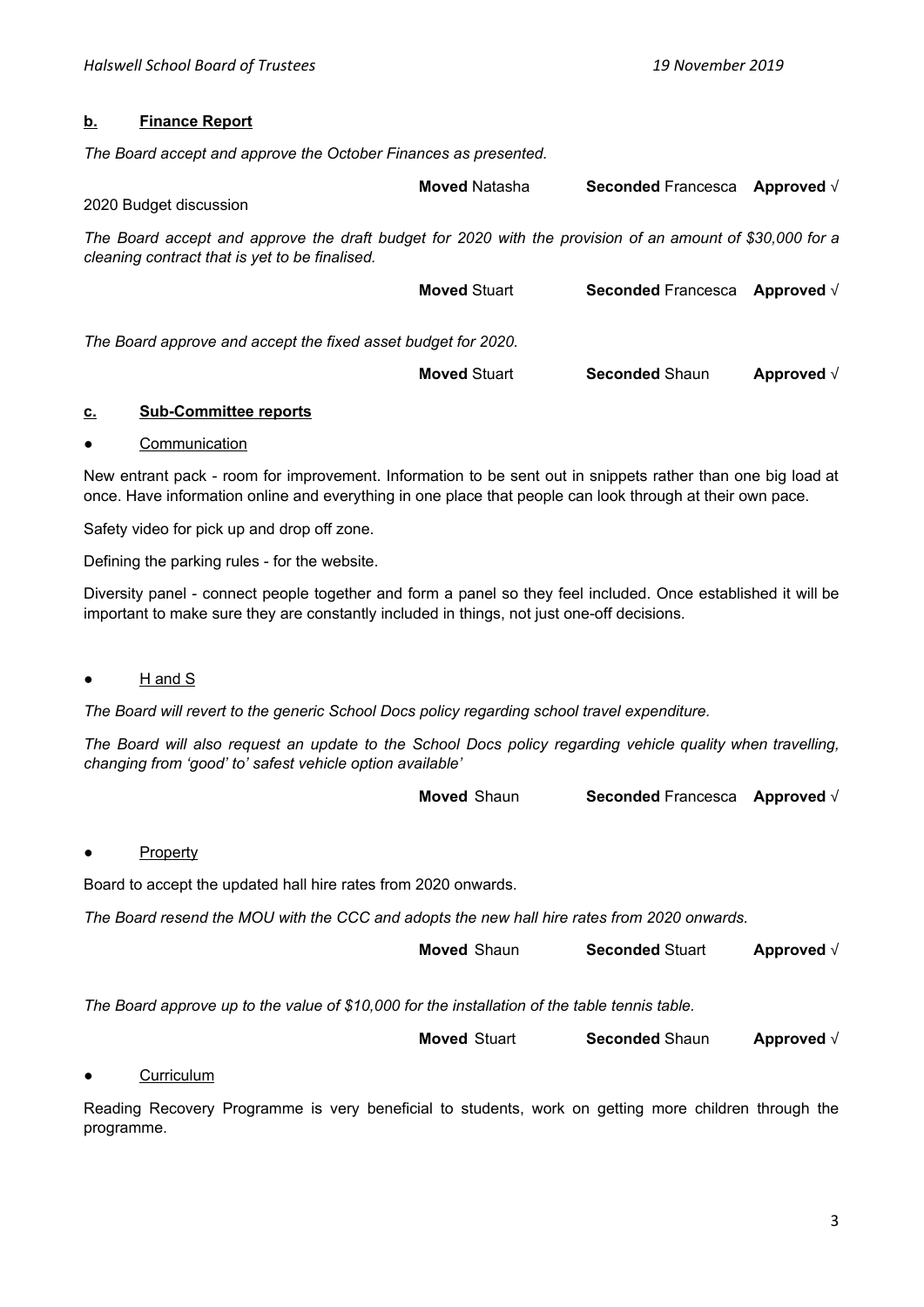### **b. Finance Report**

*The Board accept and approve the October Finances as presented.*

| 2020 Budget discussion                                                                                                                                     | <b>Moved Natasha</b> | <b>Seconded Francesca</b> Approved $\sqrt{}$ |                    |
|------------------------------------------------------------------------------------------------------------------------------------------------------------|----------------------|----------------------------------------------|--------------------|
| The Board accept and approve the draft budget for 2020 with the provision of an amount of \$30,000 for a<br>cleaning contract that is yet to be finalised. |                      |                                              |                    |
|                                                                                                                                                            | <b>Moved Stuart</b>  | <b>Seconded Francesca</b>                    | Approved $\sqrt{}$ |
| The Board approve and accept the fixed asset budget for 2020.                                                                                              |                      |                                              |                    |
|                                                                                                                                                            | <b>Moved Stuart</b>  | <b>Seconded Shaun</b>                        | Approved $\sqrt{}$ |

## **c. Sub-Committee reports**

#### ● Communication

New entrant pack - room for improvement. Information to be sent out in snippets rather than one big load at once. Have information online and everything in one place that people can look through at their own pace.

Safety video for pick up and drop off zone.

Defining the parking rules - for the website.

Diversity panel - connect people together and form a panel so they feel included. Once established it will be important to make sure they are constantly included in things, not just one-off decisions.

## H and S

*The Board will revert to the generic School Docs policy regarding school travel expenditure.*

The Board will also request an update to the School Docs policy regarding vehicle quality when travelling, *changing from 'good' to' safest vehicle option available'*

#### **Property**

Board to accept the updated hall hire rates from 2020 onwards.

*The Board resend the MOU with the CCC and adopts the new hall hire rates from 2020 onwards.*

| <b>Moved</b> Shaun | <b>Seconded Stuart</b> | Approved $\sqrt{}$ |
|--------------------|------------------------|--------------------|
|--------------------|------------------------|--------------------|

*The Board approve up to the value of \$10,000 for the installation of the table tennis table.*

**Moved** Stuart **Seconded** Shaun **Approved** √

#### Curriculum

Reading Recovery Programme is very beneficial to students, work on getting more children through the programme.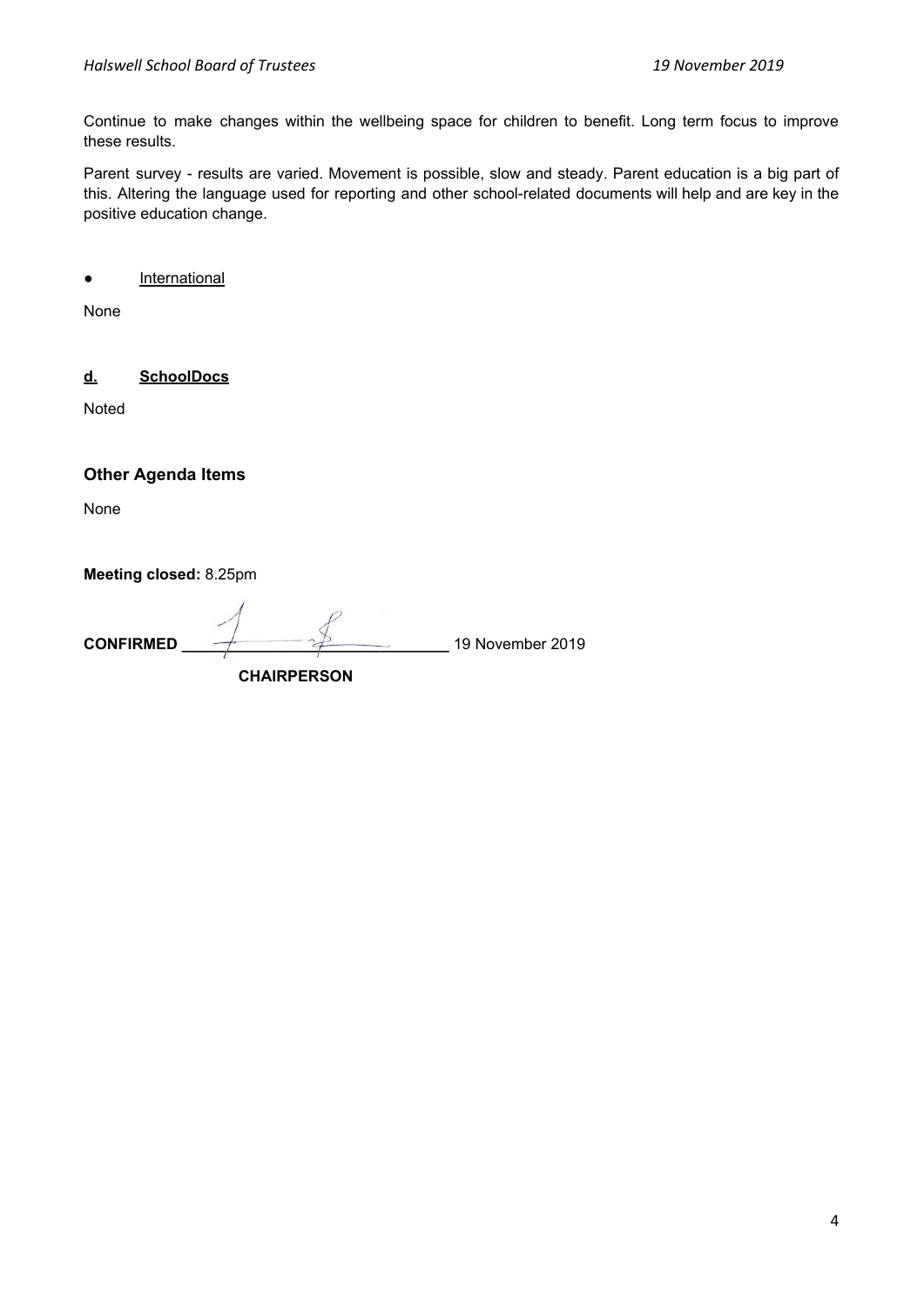Continue to make changes within the wellbeing space for children to benefit. Long term focus to improve these results.

Parent survey - results are varied. Movement is possible, slow and steady. Parent education is a big part of this. Altering the language used for reporting and other school-related documents will help and are key in the positive education change.

● International

None

**d. SchoolDocs** 

Noted

**Other Agenda Items** 

None

**Meeting closed:** 8.25pm

**CONFIRMED \_\_\_\_\_\_\_\_\_\_\_\_\_\_\_\_\_\_\_\_\_\_\_\_\_\_\_\_\_\_\_** 19 November 2019  **CHAIRPERSON**